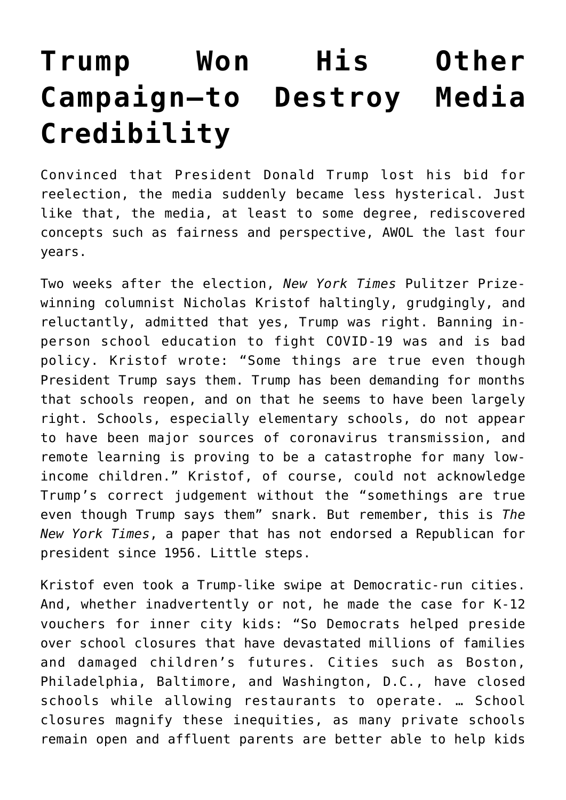## **[Trump Won His Other](https://intellectualtakeout.org/2020/12/trump-won-his-other-campaign-to-destroy-media-credibility/) [Campaign—to Destroy Media](https://intellectualtakeout.org/2020/12/trump-won-his-other-campaign-to-destroy-media-credibility/) [Credibility](https://intellectualtakeout.org/2020/12/trump-won-his-other-campaign-to-destroy-media-credibility/)**

Convinced that President Donald Trump lost his bid for reelection, the media suddenly became less hysterical. Just like that, the media, at least to some degree, rediscovered concepts such as fairness and perspective, AWOL the last four years.

Two weeks after the election, *New York Times* Pulitzer Prizewinning columnist Nicholas Kristof haltingly, grudgingly, and reluctantly, admitted that yes, Trump was right. Banning inperson school education to fight COVID-19 was and is bad policy. Kristof wrote: "Some things are true even though President Trump says them. Trump has been demanding for months that schools reopen, and on that he seems to have been largely right. Schools, especially elementary schools, do not appear to have been major sources of coronavirus transmission, and remote learning is proving to be a catastrophe for many lowincome children." Kristof, of course, could not acknowledge Trump's correct judgement without the "somethings are true even though Trump says them" snark. But remember, this is *The New York Times*, a paper that has not endorsed a Republican for president since 1956. Little steps.

Kristof even took a Trump-like swipe at Democratic-run cities. And, whether inadvertently or not, he made the case for K-12 vouchers for inner city kids: "So Democrats helped preside over school closures that have devastated millions of families and damaged children's futures. Cities such as Boston, Philadelphia, Baltimore, and Washington, D.C., have closed schools while allowing restaurants to operate. … School closures magnify these inequities, as many private schools remain open and affluent parents are better able to help kids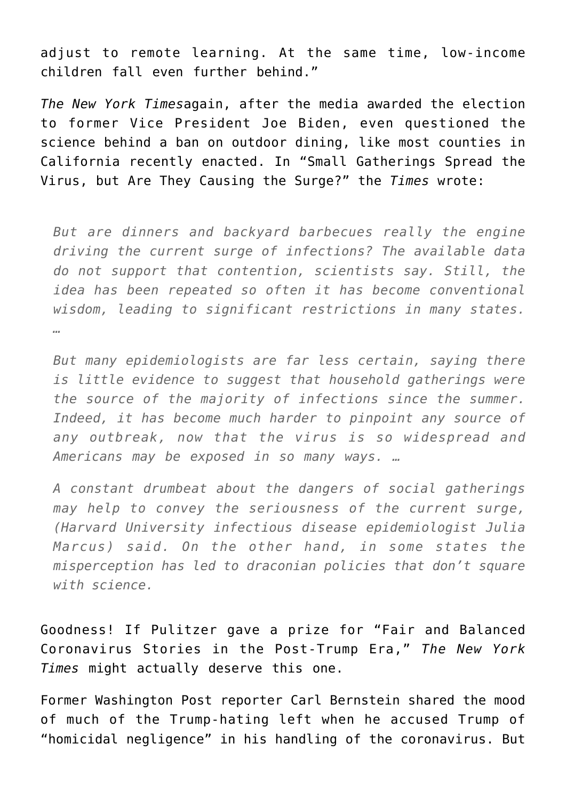adjust to remote learning. At the same time, low-income children fall even further behind."

*The New York Times*again, after the media awarded the election to former Vice President Joe Biden, even questioned the science behind a ban on outdoor dining, like most counties in California recently enacted. In "Small Gatherings Spread the Virus, but Are They Causing the Surge?" the *Times* wrote:

*But are dinners and backyard barbecues really the engine driving the current surge of infections? The available data do not support that contention, scientists say. Still, the idea has been repeated so often it has become conventional wisdom, leading to significant restrictions in many states. …* 

*But many epidemiologists are far less certain, saying there is little evidence to suggest that household gatherings were the source of the majority of infections since the summer. Indeed, it has become much harder to pinpoint any source of any outbreak, now that the virus is so widespread and Americans may be exposed in so many ways. …*

*A constant drumbeat about the dangers of social gatherings may help to convey the seriousness of the current surge, (Harvard University infectious disease epidemiologist Julia Marcus) said. On the other hand, in some states the misperception has led to draconian policies that don't square with science.*

Goodness! If Pulitzer gave a prize for "Fair and Balanced Coronavirus Stories in the Post-Trump Era," *The New York Times* might actually deserve this one.

Former Washington Post reporter Carl Bernstein shared the mood of much of the Trump-hating left when he accused Trump of "homicidal negligence" in his handling of the coronavirus. But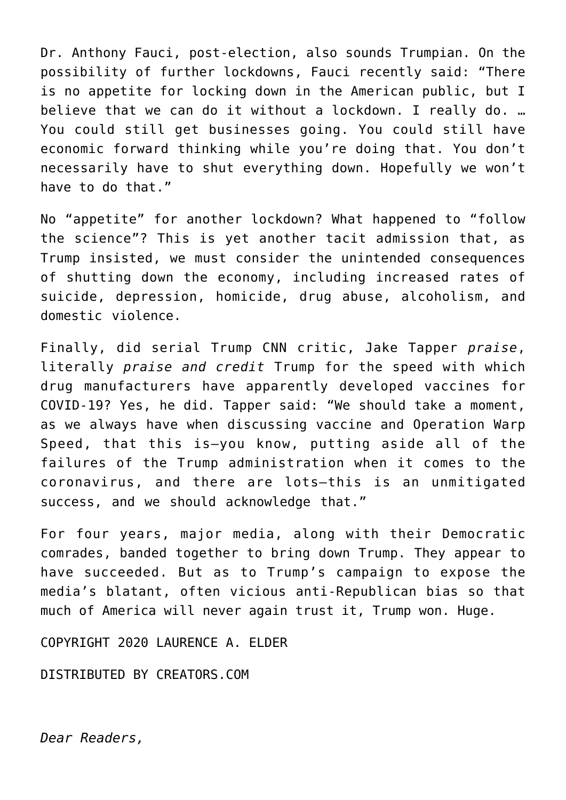Dr. Anthony Fauci, post-election, also sounds Trumpian. On the possibility of further lockdowns, Fauci recently said: "There is no appetite for locking down in the American public, but I believe that we can do it without a lockdown. I really do. … You could still get businesses going. You could still have economic forward thinking while you're doing that. You don't necessarily have to shut everything down. Hopefully we won't have to do that."

No "appetite" for another lockdown? What happened to "follow the science"? This is yet another tacit admission that, as Trump insisted, we must consider the unintended consequences of shutting down the economy, including increased rates of suicide, depression, homicide, drug abuse, alcoholism, and domestic violence.

Finally, did serial Trump CNN critic, Jake Tapper *praise*, literally *praise and credit* Trump for the speed with which drug manufacturers have apparently developed vaccines for COVID-19? Yes, he did. Tapper said: "We should take a moment, as we always have when discussing vaccine and Operation Warp Speed, that this is—you know, putting aside all of the failures of the Trump administration when it comes to the coronavirus, and there are lots—this is an unmitigated success, and we should acknowledge that."

For four years, major media, along with their Democratic comrades, banded together to bring down Trump. They appear to have succeeded. But as to Trump's campaign to expose the media's blatant, often vicious anti-Republican bias so that much of America will never again trust it, Trump won. Huge.

COPYRIGHT 2020 LAURENCE A. ELDER

DISTRIBUTED BY CREATORS.COM

*Dear Readers,*